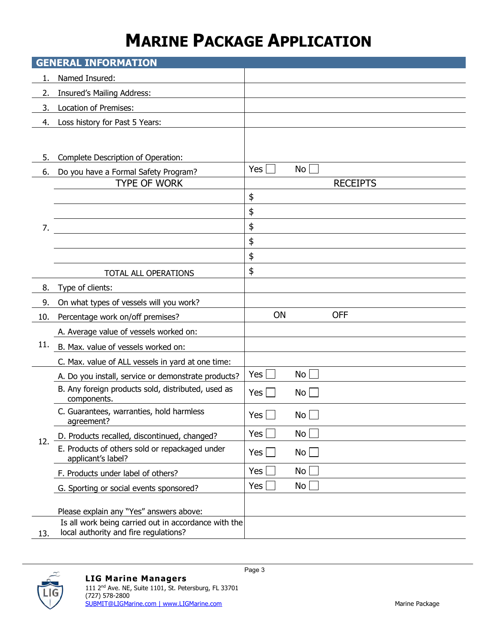## **MARINE PACKAGE APPLICATION**

|     | <b>GENERAL INFORMATION</b>                                           |              |                 |                 |  |  |  |  |  |
|-----|----------------------------------------------------------------------|--------------|-----------------|-----------------|--|--|--|--|--|
| 1.  | Named Insured:                                                       |              |                 |                 |  |  |  |  |  |
| 2.  | <b>Insured's Mailing Address:</b>                                    |              |                 |                 |  |  |  |  |  |
| 3.  | <b>Location of Premises:</b>                                         |              |                 |                 |  |  |  |  |  |
| 4.  | Loss history for Past 5 Years:                                       |              |                 |                 |  |  |  |  |  |
|     |                                                                      |              |                 |                 |  |  |  |  |  |
| 5.  | Complete Description of Operation:                                   |              |                 |                 |  |  |  |  |  |
| 6.  | Do you have a Formal Safety Program?                                 | Yes          | No              |                 |  |  |  |  |  |
| 7.  | <b>TYPE OF WORK</b>                                                  |              |                 | <b>RECEIPTS</b> |  |  |  |  |  |
|     |                                                                      | \$           |                 |                 |  |  |  |  |  |
|     |                                                                      | \$           |                 |                 |  |  |  |  |  |
|     |                                                                      | \$           |                 |                 |  |  |  |  |  |
|     |                                                                      | \$           |                 |                 |  |  |  |  |  |
|     |                                                                      | \$           |                 |                 |  |  |  |  |  |
|     | TOTAL ALL OPERATIONS                                                 | \$           |                 |                 |  |  |  |  |  |
| 8.  | Type of clients:                                                     |              |                 |                 |  |  |  |  |  |
| 9.  | On what types of vessels will you work?                              |              |                 |                 |  |  |  |  |  |
| 10. | Percentage work on/off premises?                                     | ON           |                 | <b>OFF</b>      |  |  |  |  |  |
|     | A. Average value of vessels worked on:                               |              |                 |                 |  |  |  |  |  |
| 11. | B. Max. value of vessels worked on:                                  |              |                 |                 |  |  |  |  |  |
|     | C. Max. value of ALL vessels in yard at one time:                    |              |                 |                 |  |  |  |  |  |
|     | A. Do you install, service or demonstrate products?                  | Yes          | No l            |                 |  |  |  |  |  |
|     | B. Any foreign products sold, distributed, used as<br>components.    | Yes          | No              |                 |  |  |  |  |  |
|     | C. Guarantees, warranties, hold harmless<br>agreement?               | $Yes$ $\Box$ | $No$ $\Box$     |                 |  |  |  |  |  |
| 12. | D. Products recalled, discontinued, changed?                         | Yes          | No l            |                 |  |  |  |  |  |
|     | E. Products of others sold or repackaged under<br>applicant's label? | Yes          | $No$            |                 |  |  |  |  |  |
|     | F. Products under label of others?                                   | Yes $\vert$  | No              |                 |  |  |  |  |  |
|     | G. Sporting or social events sponsored?                              | Yes          | No <sub>1</sub> |                 |  |  |  |  |  |
|     | Please explain any "Yes" answers above:                              |              |                 |                 |  |  |  |  |  |
|     | Is all work being carried out in accordance with the                 |              |                 |                 |  |  |  |  |  |
| 13. | local authority and fire regulations?                                |              |                 |                 |  |  |  |  |  |

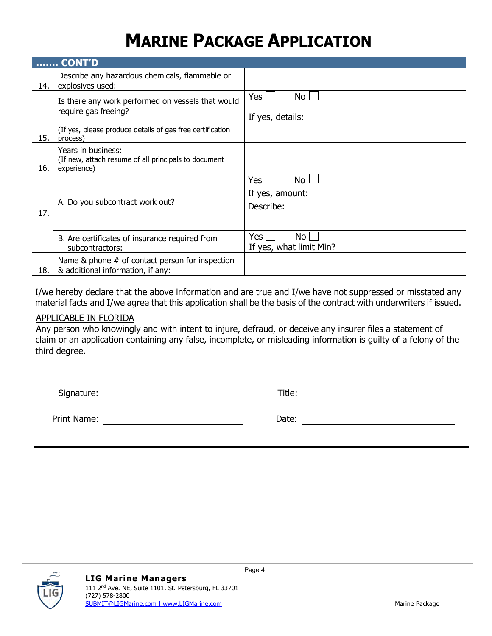## **MARINE PACKAGE APPLICATION**

|     | <b>CONT'D</b>                                                                             |                                                  |
|-----|-------------------------------------------------------------------------------------------|--------------------------------------------------|
| 14. | Describe any hazardous chemicals, flammable or<br>explosives used:                        |                                                  |
|     | Is there any work performed on vessels that would<br>require gas freeing?                 | Yes  <br>No<br>If yes, details:                  |
| 15. | (If yes, please produce details of gas free certification<br>process)                     |                                                  |
| 16. | Years in business:<br>(If new, attach resume of all principals to document<br>experience) |                                                  |
| 17. | A. Do you subcontract work out?                                                           | <b>Yes</b><br>No<br>If yes, amount:<br>Describe: |
|     | B. Are certificates of insurance required from<br>subcontractors:                         | Yes l<br>No<br>If yes, what limit Min?           |
| 18. | Name & phone # of contact person for inspection<br>& additional information, if any:      |                                                  |

I/we hereby declare that the above information and are true and I/we have not suppressed or misstated any material facts and I/we agree that this application shall be the basis of the contract with underwriters if issued.

### APPLICABLE IN FLORIDA

Any person who knowingly and with intent to injure, defraud, or deceive any insurer files a statement of claim or an application containing any false, incomplete, or misleading information is guilty of a felony of the third degree.

Page 4

Signature: Title:

Print Name: **Date:** Date: **Date:** Date: **Date: Date: Date: Date: Date: Date: Date: Date: Date: Date: Date: Date: Date: Date: Date: Date: Date: Date: Date: Date: Date: Date: Date:**